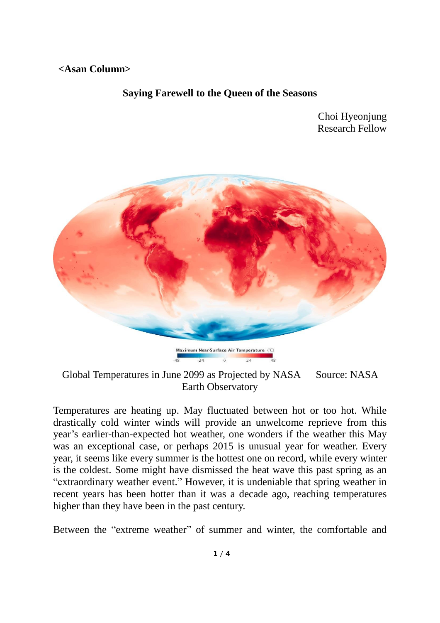## **<Asan Column>**

## **Saying Farewell to the Queen of the Seasons**

Choi Hyeonjung Research Fellow



Maximum Near-Surface Air Temperature (°C)  $\alpha$ 

Global Temperatures in June 2099 as Projected by NASA Source: NASA Earth Observatory

Temperatures are heating up. May fluctuated between hot or too hot. While drastically cold winter winds will provide an unwelcome reprieve from this year's earlier-than-expected hot weather, one wonders if the weather this May was an exceptional case, or perhaps 2015 is unusual year for weather. Every year, it seems like every summer is the hottest one on record, while every winter is the coldest. Some might have dismissed the heat wave this past spring as an "extraordinary weather event." However, it is undeniable that spring weather in recent years has been hotter than it was a decade ago, reaching temperatures higher than they have been in the past century.

Between the "extreme weather" of summer and winter, the comfortable and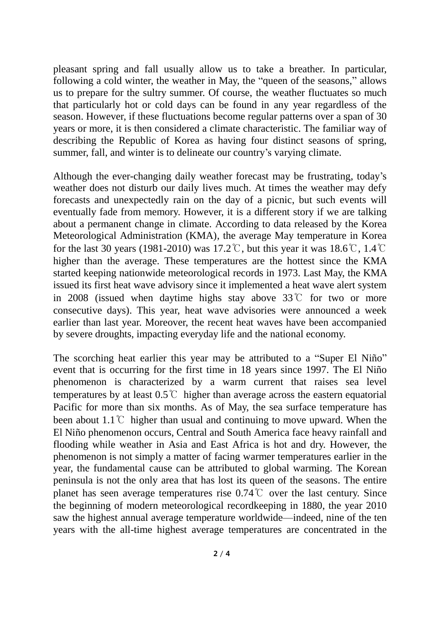pleasant spring and fall usually allow us to take a breather. In particular, following a cold winter, the weather in May, the "queen of the seasons," allows us to prepare for the sultry summer. Of course, the weather fluctuates so much that particularly hot or cold days can be found in any year regardless of the season. However, if these fluctuations become regular patterns over a span of 30 years or more, it is then considered a climate characteristic. The familiar way of describing the Republic of Korea as having four distinct seasons of spring, summer, fall, and winter is to delineate our country's varying climate.

Although the ever-changing daily weather forecast may be frustrating, today's weather does not disturb our daily lives much. At times the weather may defy forecasts and unexpectedly rain on the day of a picnic, but such events will eventually fade from memory. However, it is a different story if we are talking about a permanent change in climate. According to data released by the Korea Meteorological Administration (KMA), the average May temperature in Korea for the last 30 years (1981-2010) was 17.2°C, but this year it was 18.6°C, 1.4°C higher than the average. These temperatures are the hottest since the KMA started keeping nationwide meteorological records in 1973. Last May, the KMA issued its first heat wave advisory since it implemented a heat wave alert system in 2008 (issued when daytime highs stay above 33℃ for two or more consecutive days). This year, heat wave advisories were announced a week earlier than last year. Moreover, the recent heat waves have been accompanied by severe droughts, impacting everyday life and the national economy.

The scorching heat earlier this year may be attributed to a "Super El Niño" event that is occurring for the first time in 18 years since 1997. The El Niño phenomenon is characterized by a warm current that raises sea level temperatures by at least 0.5℃ higher than average across the eastern equatorial Pacific for more than six months. As of May, the sea surface temperature has been about 1.1℃ higher than usual and continuing to move upward. When the El Niño phenomenon occurs, Central and South America face heavy rainfall and flooding while weather in Asia and East Africa is hot and dry. However, the phenomenon is not simply a matter of facing warmer temperatures earlier in the year, the fundamental cause can be attributed to global warming. The Korean peninsula is not the only area that has lost its queen of the seasons. The entire planet has seen average temperatures rise 0.74℃ over the last century. Since the beginning of modern meteorological recordkeeping in 1880, the year 2010 saw the highest annual average temperature worldwide—indeed, nine of the ten years with the all-time highest average temperatures are concentrated in the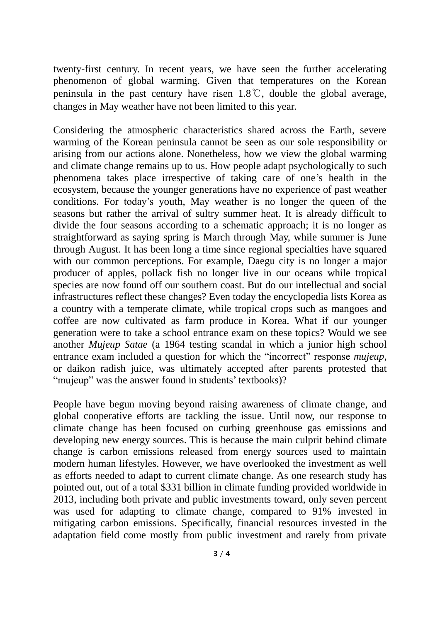twenty-first century. In recent years, we have seen the further accelerating phenomenon of global warming. Given that temperatures on the Korean peninsula in the past century have risen 1.8℃, double the global average, changes in May weather have not been limited to this year.

Considering the atmospheric characteristics shared across the Earth, severe warming of the Korean peninsula cannot be seen as our sole responsibility or arising from our actions alone. Nonetheless, how we view the global warming and climate change remains up to us. How people adapt psychologically to such phenomena takes place irrespective of taking care of one's health in the ecosystem, because the younger generations have no experience of past weather conditions. For today's youth, May weather is no longer the queen of the seasons but rather the arrival of sultry summer heat. It is already difficult to divide the four seasons according to a schematic approach; it is no longer as straightforward as saying spring is March through May, while summer is June through August. It has been long a time since regional specialties have squared with our common perceptions. For example, Daegu city is no longer a major producer of apples, pollack fish no longer live in our oceans while tropical species are now found off our southern coast. But do our intellectual and social infrastructures reflect these changes? Even today the encyclopedia lists Korea as a country with a temperate climate, while tropical crops such as mangoes and coffee are now cultivated as farm produce in Korea. What if our younger generation were to take a school entrance exam on these topics? Would we see another *Mujeup Satae* (a 1964 testing scandal in which a junior high school entrance exam included a question for which the "incorrect" response *mujeup*, or daikon radish juice, was ultimately accepted after parents protested that "mujeup" was the answer found in students' textbooks)?

People have begun moving beyond raising awareness of climate change, and global cooperative efforts are tackling the issue. Until now, our response to climate change has been focused on curbing greenhouse gas emissions and developing new energy sources. This is because the main culprit behind climate change is carbon emissions released from energy sources used to maintain modern human lifestyles. However, we have overlooked the investment as well as efforts needed to adapt to current climate change. As one research study has pointed out, out of a total \$331 billion in climate funding provided worldwide in 2013, including both private and public investments toward, only seven percent was used for adapting to climate change, compared to 91% invested in mitigating carbon emissions. Specifically, financial resources invested in the adaptation field come mostly from public investment and rarely from private